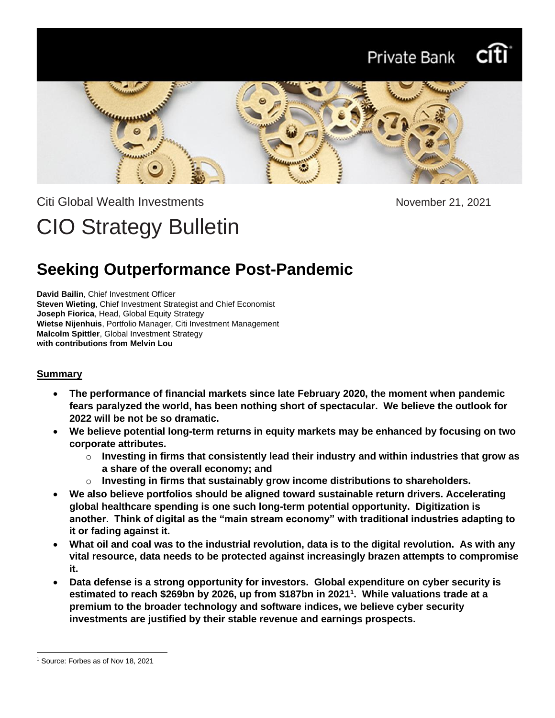# Private Bank



Citi Global Wealth Investments **November 21, 2021** 

# CIO Strategy Bulletin

# **Seeking Outperformance Post-Pandemic**

**David Bailin**, Chief Investment Officer **Steven Wieting**, Chief Investment Strategist and Chief Economist **Joseph Fiorica**, Head, Global Equity Strategy **Wietse Nijenhuis**, Portfolio Manager, Citi Investment Management **Malcolm Spittler**, Global Investment Strategy **with contributions from Melvin Lou**

### **Summary**

- **The performance of financial markets since late February 2020, the moment when pandemic fears paralyzed the world, has been nothing short of spectacular. We believe the outlook for 2022 will be not be so dramatic.**
- **We believe potential long-term returns in equity markets may be enhanced by focusing on two corporate attributes.**
	- o **Investing in firms that consistently lead their industry and within industries that grow as a share of the overall economy; and**
	- o **Investing in firms that sustainably grow income distributions to shareholders.**
- **We also believe portfolios should be aligned toward sustainable return drivers. Accelerating global healthcare spending is one such long-term potential opportunity. Digitization is another. Think of digital as the "main stream economy" with traditional industries adapting to it or fading against it.**
- **What oil and coal was to the industrial revolution, data is to the digital revolution. As with any vital resource, data needs to be protected against increasingly brazen attempts to compromise it.**
- **Data defense is a strong opportunity for investors. Global expenditure on cyber security is estimated to reach \$269bn by 2026, up from \$187bn in 2021<sup>1</sup> . While valuations trade at a premium to the broader technology and software indices, we believe cyber security investments are justified by their stable revenue and earnings prospects.**

<sup>1</sup> Source: Forbes as of Nov 18, 2021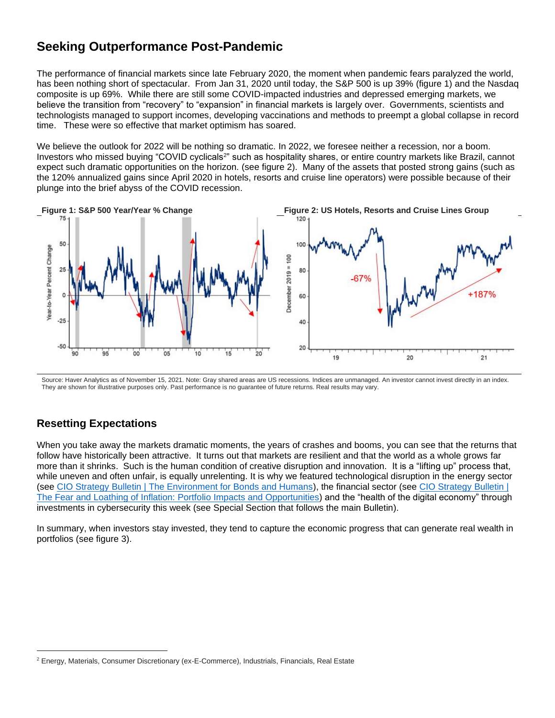# **Seeking Outperformance Post-Pandemic**

The performance of financial markets since late February 2020, the moment when pandemic fears paralyzed the world, has been nothing short of spectacular. From Jan 31, 2020 until today, the S&P 500 is up 39% (figure 1) and the Nasdaq composite is up 69%. While there are still some COVID-impacted industries and depressed emerging markets, we believe the transition from "recovery" to "expansion" in financial markets is largely over. Governments, scientists and technologists managed to support incomes, developing vaccinations and methods to preempt a global collapse in record time. These were so effective that market optimism has soared.

We believe the outlook for 2022 will be nothing so dramatic. In 2022, we foresee neither a recession, nor a boom. Investors who missed buying "COVID cyclicals<sup>2</sup>" such as hospitality shares, or entire country markets like Brazil, cannot expect such dramatic opportunities on the horizon. (see figure 2). Many of the assets that posted strong gains (such as the 120% annualized gains since April 2020 in hotels, resorts and cruise line operators) were possible because of their plunge into the brief abyss of the COVID recession.



Source: Haver Analytics as of November 15, 2021. Note: Gray shared areas are US recessions. Indices are unmanaged. An investor cannot invest directly in an index. They are shown for illustrative purposes only. Past performance is no guarantee of future returns. Real results may vary.

# **Resetting Expectations**

When you take away the markets dramatic moments, the years of crashes and booms, you can see that the returns that follow have historically been attractive. It turns out that markets are resilient and that the world as a whole grows far more than it shrinks. Such is the human condition of creative disruption and innovation. It is a "lifting up" process that, while uneven and often unfair, is equally unrelenting. It is why we featured technological disruption in the energy sector (see [CIO Strategy Bulletin | The Environment for Bonds and Humans\)](https://www.privatebank.citibank.com/ivc/docs/quadrant/CIO_bulletin_110721.pdf), the financial sector (see [CIO Strategy Bulletin |](https://www.privatebank.citibank.com/ivc/docs/quadrant/CIOBulletin111421_Final.pdf)  [The Fear and Loathing of Inflation: Portfolio Impacts and Opportunities\)](https://www.privatebank.citibank.com/ivc/docs/quadrant/CIOBulletin111421_Final.pdf) and the "health of the digital economy" through investments in cybersecurity this week (see Special Section that follows the main Bulletin).

In summary, when investors stay invested, they tend to capture the economic progress that can generate real wealth in portfolios (see figure 3).

<sup>2</sup> Energy, Materials, Consumer Discretionary (ex-E-Commerce), Industrials, Financials, Real Estate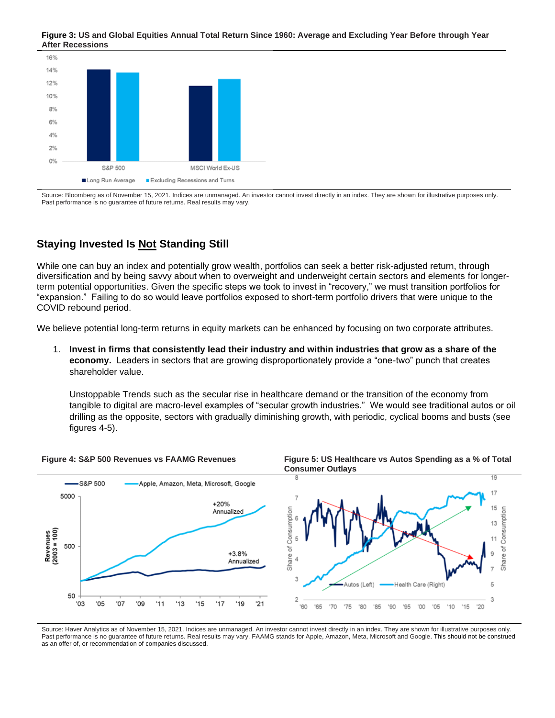#### **Figure 3: US and Global Equities Annual Total Return Since 1960: Average and Excluding Year Before through Year After Recessions**



Source: Bloomberg as of November 15, 2021. Indices are unmanaged. An investor cannot invest directly in an index. They are shown for illustrative purposes only. Past performance is no guarantee of future returns. Real results may vary.

# **Staying Invested Is Not Standing Still**

While one can buy an index and potentially grow wealth, portfolios can seek a better risk-adjusted return, through diversification and by being savvy about when to overweight and underweight certain sectors and elements for longerterm potential opportunities. Given the specific steps we took to invest in "recovery," we must transition portfolios for "expansion." Failing to do so would leave portfolios exposed to short-term portfolio drivers that were unique to the COVID rebound period.

We believe potential long-term returns in equity markets can be enhanced by focusing on two corporate attributes.

1. **Invest in firms that consistently lead their industry and within industries that grow as a share of the economy.** Leaders in sectors that are growing disproportionately provide a "one-two" punch that creates shareholder value.

Unstoppable Trends such as the secular rise in healthcare demand or the transition of the economy from tangible to digital are macro-level examples of "secular growth industries." We would see traditional autos or oil drilling as the opposite, sectors with gradually diminishing growth, with periodic, cyclical booms and busts (see figures 4-5).



Source: Haver Analytics as of November 15, 2021. Indices are unmanaged. An investor cannot invest directly in an index. They are shown for illustrative purposes only. Past performance is no quarantee of future returns. Real results may vary. FAAMG stands for Apple, Amazon, Meta, Microsoft and Google. This should not be construed as an offer of, or recommendation of companies discussed.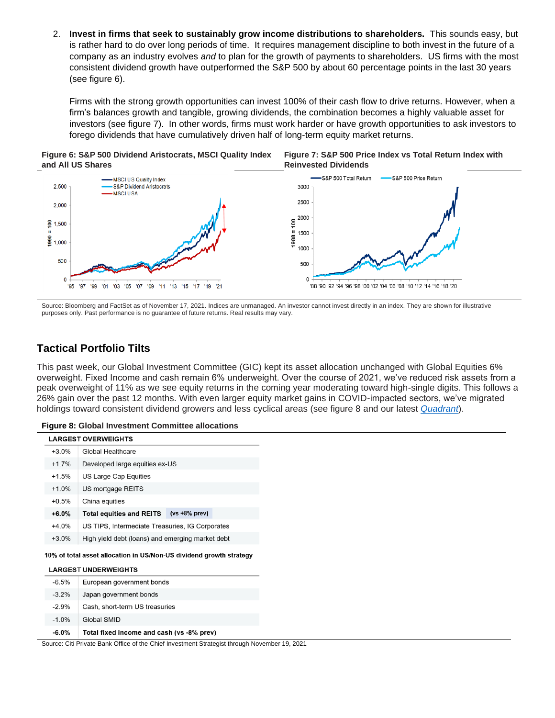2. **Invest in firms that seek to sustainably grow income distributions to shareholders.** This sounds easy, but is rather hard to do over long periods of time. It requires management discipline to both invest in the future of a company as an industry evolves *and* to plan for the growth of payments to shareholders. US firms with the most consistent dividend growth have outperformed the S&P 500 by about 60 percentage points in the last 30 years (see figure 6).

Firms with the strong growth opportunities can invest 100% of their cash flow to drive returns. However, when a firm's balances growth and tangible, growing dividends, the combination becomes a highly valuable asset for investors (see figure 7). In other words, firms must work harder or have growth opportunities to ask investors to forego dividends that have cumulatively driven half of long-term equity market returns.



**Figure 7: S&P 500 Price Index vs Total Return Index with Reinvested Dividends**



Source: Bloomberg and FactSet as of November 17, 2021. Indices are unmanaged. An investor cannot invest directly in an index. They are shown for illustrative purposes only. Past performance is no guarantee of future returns. Real results may vary.

# **Tactical Portfolio Tilts**

This past week, our Global Investment Committee (GIC) kept its asset allocation unchanged with Global Equities 6% overweight. Fixed Income and cash remain 6% underweight. Over the course of 2021, we've reduced risk assets from a peak overweight of 11% as we see equity returns in the coming year moderating toward high-single digits. This follows a 26% gain over the past 12 months. With even larger equity market gains in COVID-impacted sectors, we've migrated holdings toward consistent dividend growers and less cyclical areas (see figure 8 and our latest *[Quadrant](https://www.privatebank.citibank.com/ivc/docs/quadrant/Quadrant_November2021_Final.pdf)*).

| <b>Figure 8: Global Investment Committee allocations</b> |  |
|----------------------------------------------------------|--|
|----------------------------------------------------------|--|

| <b>LARGEST OVERWEIGHTS</b> |                                                            |                                                  |                   |  |
|----------------------------|------------------------------------------------------------|--------------------------------------------------|-------------------|--|
| $+3.0%$                    |                                                            | Global Healthcare                                |                   |  |
| $+17%$                     |                                                            | Developed large equities ex-US                   |                   |  |
| $+1.5%$                    |                                                            | US Large Cap Equities                            |                   |  |
| $+1.0%$                    |                                                            | US mortgage REITS                                |                   |  |
| $+0.5%$                    |                                                            | China equities                                   |                   |  |
| $+6.0%$                    |                                                            | <b>Total equities and REITS</b>                  | $(vs + 8\%$ prev) |  |
|                            | $+4.0%$<br>US TIPS, Intermediate Treasuries, IG Corporates |                                                  |                   |  |
| $+3.0%$                    |                                                            | High yield debt (loans) and emerging market debt |                   |  |
|                            |                                                            |                                                  |                   |  |

10% of total asset allocation in US/Non-US dividend growth strategy

| <b>LARGEST UNDERWEIGHTS</b> |         |                                           |  |
|-----------------------------|---------|-------------------------------------------|--|
|                             | $-6.5%$ | European government bonds                 |  |
|                             | $-3.2%$ | Japan government bonds                    |  |
|                             | $-2.9%$ | Cash, short-term US treasuries            |  |
|                             | $-1.0%$ | Global SMID                               |  |
|                             | -ፍ በ%   | Total fived income and cash (ys -8% prev) |  |

Source: Citi Private Bank Office of the Chief Investment Strategist through November 19, 2021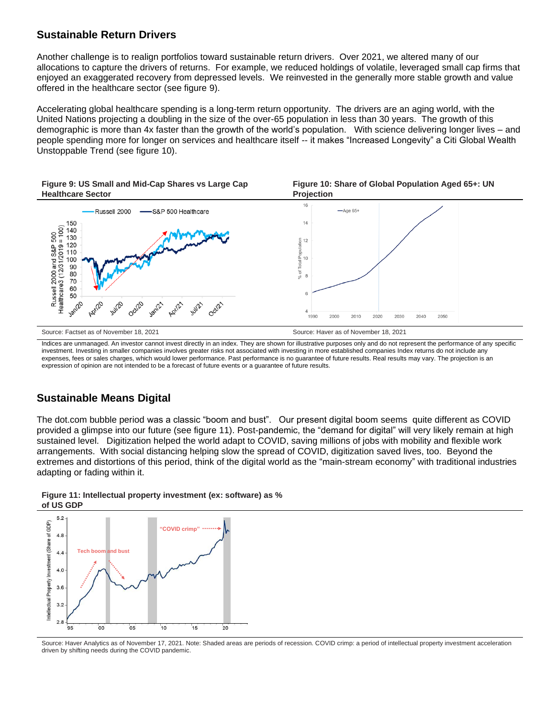### **Sustainable Return Drivers**

Another challenge is to realign portfolios toward sustainable return drivers. Over 2021, we altered many of our allocations to capture the drivers of returns. For example, we reduced holdings of volatile, leveraged small cap firms that enjoyed an exaggerated recovery from depressed levels. We reinvested in the generally more stable growth and value offered in the healthcare sector (see figure 9).

Accelerating global healthcare spending is a long-term return opportunity. The drivers are an aging world, with the United Nations projecting a doubling in the size of the over-65 population in less than 30 years. The growth of this demographic is more than 4x faster than the growth of the world's population. With science delivering longer lives – and people spending more for longer on services and healthcare itself -- it makes "Increased Longevity" a Citi Global Wealth Unstoppable Trend (see figure 10).



Indices are unmanaged. An investor cannot invest directly in an index. They are shown for illustrative purposes only and do not represent the performance of any specific investment. Investing in smaller companies involves greater risks not associated with investing in more established companies Index returns do not include any expenses, fees or sales charges, which would lower performance. Past performance is no guarantee of future results. Real results may vary. The projection is an expression of opinion are not intended to be a forecast of future events or a guarantee of future results.

### **Sustainable Means Digital**

The dot.com bubble period was a classic "boom and bust". Our present digital boom seems quite different as COVID provided a glimpse into our future (see figure 11). Post-pandemic, the "demand for digital" will very likely remain at high sustained level. Digitization helped the world adapt to COVID, saving millions of jobs with mobility and flexible work arrangements. With social distancing helping slow the spread of COVID, digitization saved lives, too. Beyond the extremes and distortions of this period, think of the digital world as the "main-stream economy" with traditional industries adapting or fading within it.



# **Figure 11: Intellectual property investment (ex: software) as %**

Source: Haver Analytics as of November 17, 2021. Note: Shaded areas are periods of recession. COVID crimp: a period of intellectual property investment acceleration driven by shifting needs during the COVID pandemic.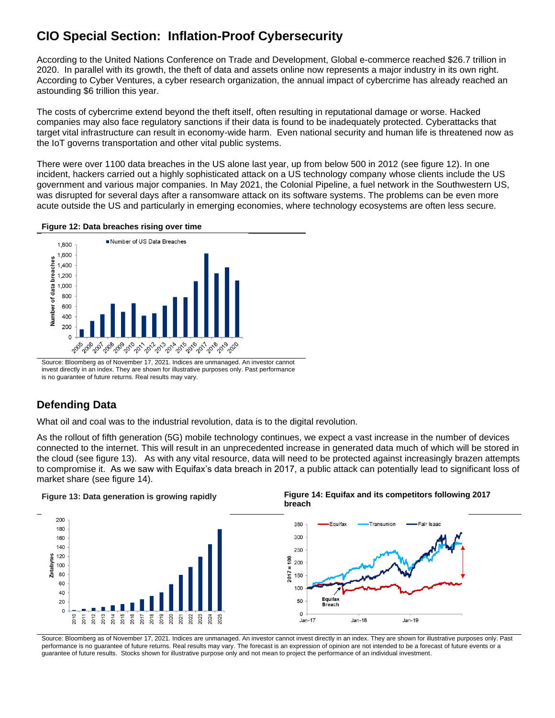# **CIO Special Section: Inflation-Proof Cybersecurity**

According to the United Nations Conference on Trade and Development, Global e-commerce reached \$26.7 trillion in 2020. In parallel with its growth, the theft of data and assets online now represents a major industry in its own right. According to Cyber Ventures, a cyber research organization, the annual impact of cybercrime has already reached an astounding \$6 trillion this year.

The costs of cybercrime extend beyond the theft itself, often resulting in reputational damage or worse. Hacked companies may also face regulatory sanctions if their data is found to be inadequately protected. Cyberattacks that target vital infrastructure can result in economy-wide harm. Even national security and human life is threatened now as the IoT governs transportation and other vital public systems.

There were over 1100 data breaches in the US alone last year, up from below 500 in 2012 (see figure 12). In one incident, hackers carried out a highly sophisticated attack on a US technology company whose clients include the US government and various major companies. In May 2021, the Colonial Pipeline, a fuel network in the Southwestern US, was disrupted for several days after a ransomware attack on its software systems. The problems can be even more acute outside the US and particularly in emerging economies, where technology ecosystems are often less secure.

### **Figure 12: Data breaches rising over time**



Source: Bloomberg as of November 17, 2021. Indices are unmanaged. An investor cannot invest directly in an index. They are shown for illustrative purposes only. Past performance is no guarantee of future returns. Real results may vary.

# **Defending Data**

What oil and coal was to the industrial revolution, data is to the digital revolution.

As the rollout of fifth generation (5G) mobile technology continues, we expect a vast increase in the number of devices connected to the internet. This will result in an unprecedented increase in generated data much of which will be stored in the cloud (see figure 13). As with any vital resource, data will need to be protected against increasingly brazen attempts to compromise it. As we saw with Equifax's data breach in 2017, a public attack can potentially lead to significant loss of market share (see figure 14).



Source: Bloomberg as of November 17, 2021. Indices are unmanaged. An investor cannot invest directly in an index. They are shown for illustrative purposes only. Past performance is no guarantee of future returns. Real results may vary. The forecast is an expression of opinion are not intended to be a forecast of future events or a guarantee of future results. Stocks shown for illustrative purpose only and not mean to project the performance of an individual investment.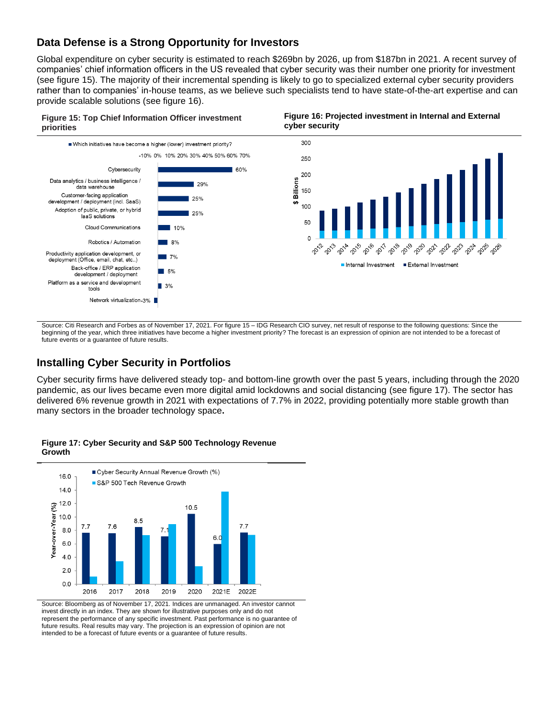# **Data Defense is a Strong Opportunity for Investors**

Global expenditure on cyber security is estimated to reach \$269bn by 2026, up from \$187bn in 2021. A recent survey of companies' chief information officers in the US revealed that cyber security was their number one priority for investment (see figure 15). The majority of their incremental spending is likely to go to specialized external cyber security providers rather than to companies' in-house teams, as we believe such specialists tend to have state-of-the-art expertise and can provide scalable solutions (see figure 16).



Source: Citi Research and Forbes as of November 17, 2021. For figure 15 - IDG Research CIO survey, net result of response to the following questions: Since the beginning of the year, which three initiatives have become a higher investment priority? The forecast is an expression of opinion are not intended to be a forecast of future events or a guarantee of future results.

# **Installing Cyber Security in Portfolios**

Cyber security firms have delivered steady top- and bottom-line growth over the past 5 years, including through the 2020 pandemic, as our lives became even more digital amid lockdowns and social distancing (see figure 17). The sector has delivered 6% revenue growth in 2021 with expectations of 7.7% in 2022, providing potentially more stable growth than many sectors in the broader technology space**.**



#### **Figure 17: Cyber Security and S&P 500 Technology Revenue Growth**

Source: Bloomberg as of November 17, 2021. Indices are unmanaged. An investor cannot invest directly in an index. They are shown for illustrative purposes only and do not represent the performance of any specific investment. Past performance is no guarantee of future results. Real results may vary. The projection is an expression of opinion are not intended to be a forecast of future events or a guarantee of future results.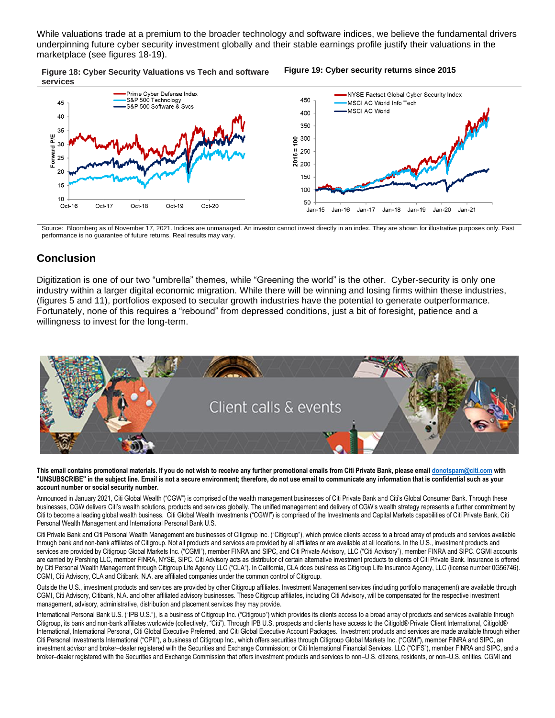While valuations trade at a premium to the broader technology and software indices, we believe the fundamental drivers underpinning future cyber security investment globally and their stable earnings profile justify their valuations in the marketplace (see figures 18-19).

**Figure 18: Cyber Security Valuations vs Tech and software services**

### **Figure 19: Cyber security returns since 2015**



Source: Bloomberg as of November 17, 2021. Indices are unmanaged. An investor cannot invest directly in an index. They are shown for illustrative purposes only. Past performance is no guarantee of future returns. Real results may vary.

# **Conclusion**

Digitization is one of our two "umbrella" themes, while "Greening the world" is the other. Cyber-security is only one industry within a larger digital economic migration. While there will be winning and losing firms within these industries, (figures 5 and 11), portfolios exposed to secular growth industries have the potential to generate outperformance. Fortunately, none of this requires a "rebound" from depressed conditions, just a bit of foresight, patience and a willingness to invest for the long-term.



**This email contains promotional materials. If you do not wish to receive any further promotional emails from Citi Private Bank, please emai[l donotspam@citi.com](mailto:donotspam@citi.com) with "UNSUBSCRIBE" in the subject line. Email is not a secure environment; therefore, do not use email to communicate any information that is confidential such as your account number or social security number.**

Announced in January 2021, Citi Global Wealth ("CGW") is comprised of the wealth management businesses of Citi Private Bank and Citi's Global Consumer Bank. Through these businesses, CGW delivers Citi's wealth solutions, products and services globally. The unified management and delivery of CGW's wealth strategy represents a further commitment by Citi to become a leading global wealth business. Citi Global Wealth Investments ("CGWI") is comprised of the Investments and Capital Markets capabilities of Citi Private Bank, Citi Personal Wealth Management and International Personal Bank U.S.

Citi Private Bank and Citi Personal Wealth Management are businesses of Citigroup Inc. ("Citigroup"), which provide clients access to a broad array of products and services available through bank and non-bank affiliates of Citigroup. Not all products and services are provided by all affiliates or are available at all locations. In the U.S., investment products and services are provided by Citigroup Global Markets Inc. ("CGMI"), member FINRA and SIPC, and Citi Private Advisory, LLC ("Citi Advisory"), member FINRA and SIPC. CGMI accounts are carried by Pershing LLC, member FINRA, NYSE, SIPC. Citi Advisory acts as distributor of certain alternative investment products to clients of Citi Private Bank. Insurance is offered by Citi Personal Wealth Management through Citigroup Life Agency LLC ("CLA"). In California, CLA does business as Citigroup Life Insurance Agency, LLC (license number 0G56746). CGMI, Citi Advisory, CLA and Citibank, N.A. are affiliated companies under the common control of Citigroup.

Outside the U.S., investment products and services are provided by other Citigroup affiliates. Investment Management services (including portfolio management) are available through CGMI, Citi Advisory, Citibank, N.A. and other affiliated advisory businesses. These Citigroup affiliates, including Citi Advisory, will be compensated for the respective investment management, advisory, administrative, distribution and placement services they may provide.

International Personal Bank U.S. ("IPB U.S."), is a business of Citigroup Inc. ("Citigroup") which provides its clients access to a broad array of products and services available through Citigroup, its bank and non-bank affiliates worldwide (collectively, "Citi"). Through IPB U.S. prospects and clients have access to the Citigold® Private Client International, Citigold® International, International Personal, Citi Global Executive Preferred, and Citi Global Executive Account Packages. Investment products and services are made available through either Citi Personal Investments International ("CPII"), a business of Citigroup Inc., which offers securities through Citigroup Global Markets Inc. ("CGMI"), member FINRA and SIPC, an investment advisor and broker–dealer registered with the Securities and Exchange Commission; or Citi International Financial Services, LLC ("CIFS"), member FINRA and SIPC, and a broker–dealer registered with the Securities and Exchange Commission that offers investment products and services to non–U.S. citizens, residents, or non–U.S. entities. CGMI and